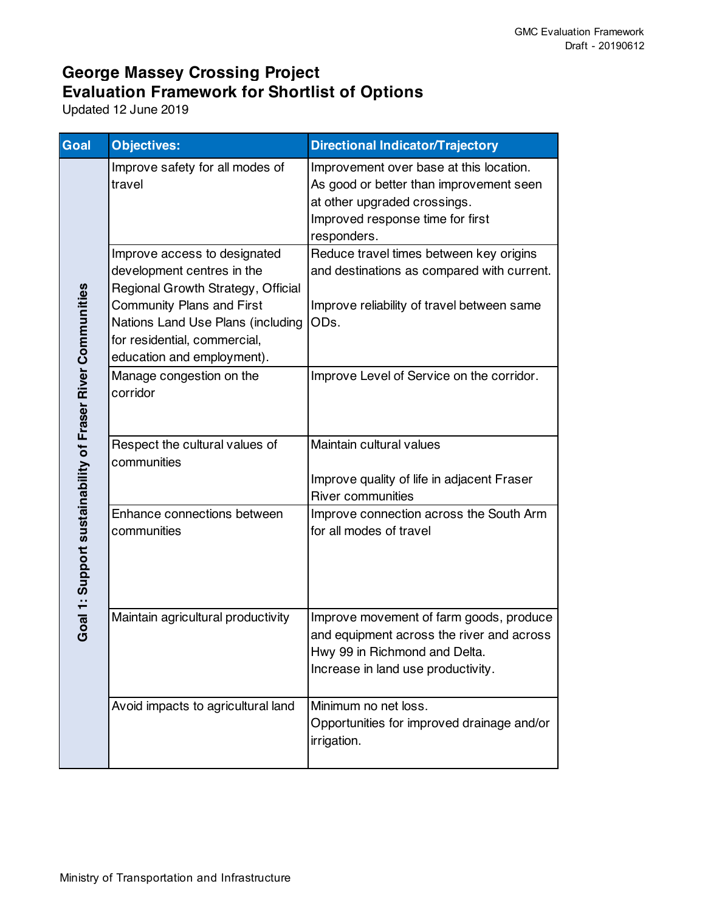| Goal                                                       | <b>Objectives:</b>                                                                                                                                                                                                                      | <b>Directional Indicator/Trajectory</b>                                                                                                                               |
|------------------------------------------------------------|-----------------------------------------------------------------------------------------------------------------------------------------------------------------------------------------------------------------------------------------|-----------------------------------------------------------------------------------------------------------------------------------------------------------------------|
| Goal 1: Support sustainability of Fraser River Communities | Improve safety for all modes of<br>travel                                                                                                                                                                                               | Improvement over base at this location.<br>As good or better than improvement seen<br>at other upgraded crossings.<br>Improved response time for first<br>responders. |
|                                                            | Improve access to designated<br>development centres in the<br>Regional Growth Strategy, Official<br><b>Community Plans and First</b><br>Nations Land Use Plans (including<br>for residential, commercial,<br>education and employment). | Reduce travel times between key origins<br>and destinations as compared with current.<br>Improve reliability of travel between same<br>ODs.                           |
|                                                            | Manage congestion on the<br>corridor                                                                                                                                                                                                    | Improve Level of Service on the corridor.                                                                                                                             |
|                                                            | Respect the cultural values of<br>communities                                                                                                                                                                                           | Maintain cultural values<br>Improve quality of life in adjacent Fraser<br><b>River communities</b>                                                                    |
|                                                            | Enhance connections between<br>communities                                                                                                                                                                                              | Improve connection across the South Arm<br>for all modes of travel                                                                                                    |
|                                                            | Maintain agricultural productivity                                                                                                                                                                                                      | Improve movement of farm goods, produce<br>and equipment across the river and across<br>Hwy 99 in Richmond and Delta.<br>Increase in land use productivity.           |
|                                                            | Avoid impacts to agricultural land                                                                                                                                                                                                      | Minimum no net loss.<br>Opportunities for improved drainage and/or<br>irrigation.                                                                                     |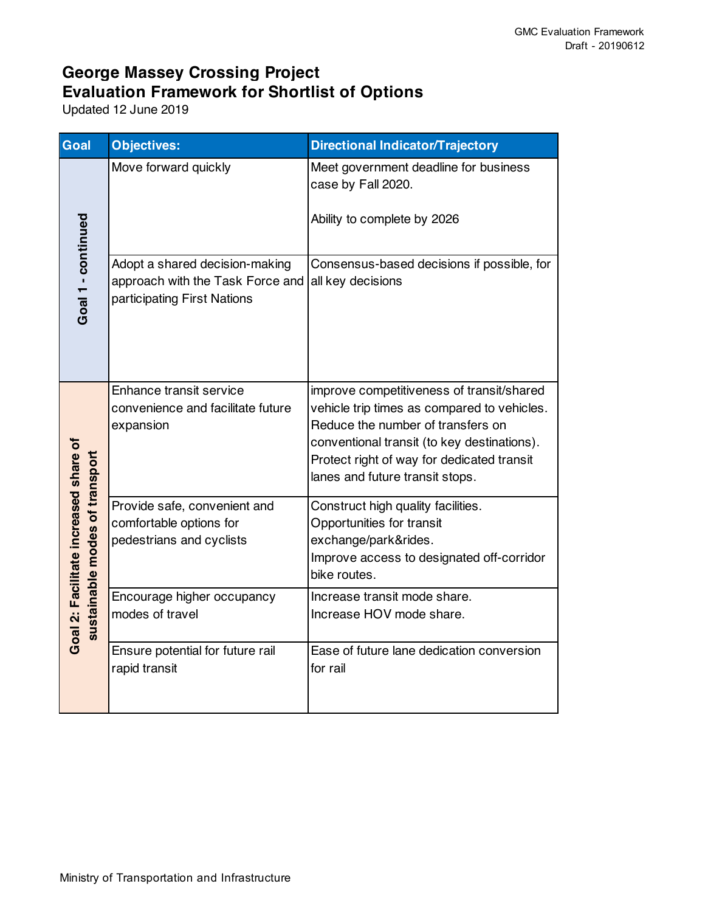| Goal                                                                    | <b>Objectives:</b>                                                                                | <b>Directional Indicator/Trajectory</b>                                                                                                                                                                                                                       |
|-------------------------------------------------------------------------|---------------------------------------------------------------------------------------------------|---------------------------------------------------------------------------------------------------------------------------------------------------------------------------------------------------------------------------------------------------------------|
| Goal 1 - continued                                                      | Move forward quickly                                                                              | Meet government deadline for business<br>case by Fall 2020.<br>Ability to complete by 2026                                                                                                                                                                    |
|                                                                         | Adopt a shared decision-making<br>approach with the Task Force and<br>participating First Nations | Consensus-based decisions if possible, for<br>all key decisions                                                                                                                                                                                               |
| Goal 2: Facilitate increased share of<br>sustainable modes of transport | Enhance transit service<br>convenience and facilitate future<br>expansion                         | improve competitiveness of transit/shared<br>vehicle trip times as compared to vehicles.<br>Reduce the number of transfers on<br>conventional transit (to key destinations).<br>Protect right of way for dedicated transit<br>lanes and future transit stops. |
|                                                                         | Provide safe, convenient and<br>comfortable options for<br>pedestrians and cyclists               | Construct high quality facilities.<br>Opportunities for transit<br>exchange/park&rides.<br>Improve access to designated off-corridor<br>bike routes.                                                                                                          |
|                                                                         | Encourage higher occupancy<br>modes of travel                                                     | Increase transit mode share.<br>Increase HOV mode share.                                                                                                                                                                                                      |
|                                                                         | Ensure potential for future rail<br>rapid transit                                                 | Ease of future lane dedication conversion<br>for rail                                                                                                                                                                                                         |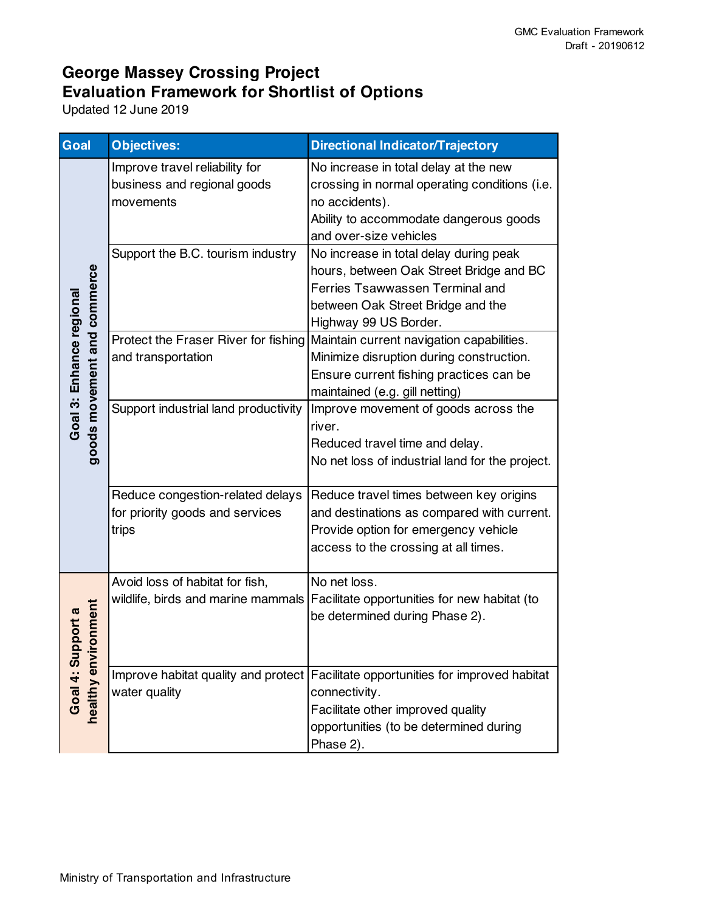| Goal                                                    | Objectives:                                                                  | <b>Directional Indicator/Trajectory</b>                                                                                                                                                        |
|---------------------------------------------------------|------------------------------------------------------------------------------|------------------------------------------------------------------------------------------------------------------------------------------------------------------------------------------------|
| goods movement and commerce<br>Goal 3: Enhance regional | Improve travel reliability for<br>business and regional goods<br>movements   | No increase in total delay at the new<br>crossing in normal operating conditions (i.e.<br>no accidents).<br>Ability to accommodate dangerous goods<br>and over-size vehicles                   |
|                                                         | Support the B.C. tourism industry                                            | No increase in total delay during peak<br>hours, between Oak Street Bridge and BC<br>Ferries Tsawwassen Terminal and<br>between Oak Street Bridge and the<br>Highway 99 US Border.             |
|                                                         | Protect the Fraser River for fishing<br>and transportation                   | Maintain current navigation capabilities.<br>Minimize disruption during construction.<br>Ensure current fishing practices can be<br>maintained (e.g. gill netting)                             |
|                                                         | Support industrial land productivity                                         | Improve movement of goods across the<br>river.<br>Reduced travel time and delay.<br>No net loss of industrial land for the project.                                                            |
|                                                         | Reduce congestion-related delays<br>for priority goods and services<br>trips | Reduce travel times between key origins<br>and destinations as compared with current.<br>Provide option for emergency vehicle<br>access to the crossing at all times.                          |
| onment<br>pport a<br>healthy envi<br>Goal 4: Su         | Avoid loss of habitat for fish,                                              | No net loss.<br>wildlife, birds and marine mammals Facilitate opportunities for new habitat (to<br>be determined during Phase 2).                                                              |
|                                                         | water quality                                                                | Improve habitat quality and protect Facilitate opportunities for improved habitat<br>connectivity.<br>Facilitate other improved quality<br>opportunities (to be determined during<br>Phase 2). |